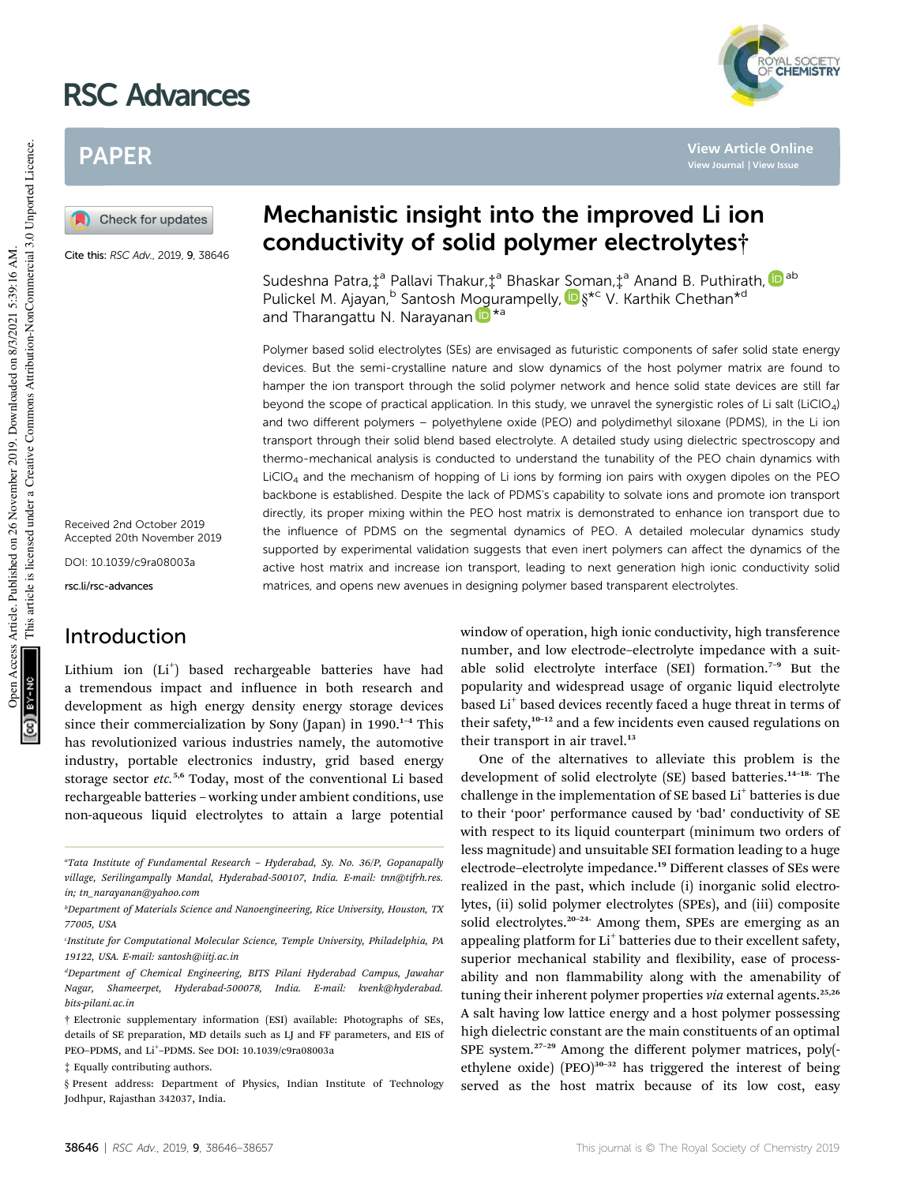# RSC Advances

# PAPER

Check for updates

Cite this: RSC Adv., 2019, 9, 38646

Received 2nd October 2019 Accepted 20th November 2019

DOI: 10.1039/c9ra08003a

rsc.li/rsc-advances

# Introduction

Lithium ion (Li<sup>+</sup>) based rechargeable batteries have had a tremendous impact and influence in both research and development as high energy density energy storage devices since their commercialization by Sony (Japan) in 1990.<sup>1-4</sup> This has revolutionized various industries namely, the automotive industry, portable electronics industry, grid based energy storage sector *etc.*5,6 Today, most of the conventional Li based rechargeable batteries – working under ambient conditions, use non-aqueous liquid electrolytes to attain a large potential

‡ Equally contributing authors.

§ Present address: Department of Physics, Indian Institute of Technology Jodhpur, Rajasthan 342037, India.

# Mechanistic insight into the improved Li ion conductivity of solid polymer electrolytes†

Sudeshna Patra,‡<sup>a</sup> Pallavi Thakur,‡<sup>a</sup> Bhaskar Soman,‡<sup>a</sup> Anand B. Puthirath, <mark>D</mark>ab Pulickel M. Ajayan, <sup>b</sup> Santosh Mogurampelly, D §\*<sup>c</sup> V. Karthik Chethan\*<sup>d</sup> and Tharangattu N. Narayanan D<sup>\*a</sup>

Polymer based solid electrolytes (SEs) are envisaged as futuristic components of safer solid state energy devices. But the semi-crystalline nature and slow dynamics of the host polymer matrix are found to hamper the ion transport through the solid polymer network and hence solid state devices are still far beyond the scope of practical application. In this study, we unravel the synergistic roles of Li salt (LiClO4) and two different polymers – polyethylene oxide (PEO) and polydimethyl siloxane (PDMS), in the Li ion transport through their solid blend based electrolyte. A detailed study using dielectric spectroscopy and thermo-mechanical analysis is conducted to understand the tunability of the PEO chain dynamics with  $LiClO<sub>4</sub>$  and the mechanism of hopping of Li ions by forming ion pairs with oxygen dipoles on the PEO backbone is established. Despite the lack of PDMS's capability to solvate ions and promote ion transport directly, its proper mixing within the PEO host matrix is demonstrated to enhance ion transport due to the influence of PDMS on the segmental dynamics of PEO. A detailed molecular dynamics study supported by experimental validation suggests that even inert polymers can affect the dynamics of the active host matrix and increase ion transport, leading to next generation high ionic conductivity solid matrices, and opens new avenues in designing polymer based transparent electrolytes.

> window of operation, high ionic conductivity, high transference number, and low electrode–electrolyte impedance with a suitable solid electrolyte interface (SEI) formation.<sup>7</sup>–<sup>9</sup> But the popularity and widespread usage of organic liquid electrolyte based Li<sup>+</sup> based devices recently faced a huge threat in terms of their safety,<sup>10-12</sup> and a few incidents even caused regulations on their transport in air travel.<sup>13</sup>

> One of the alternatives to alleviate this problem is the development of solid electrolyte (SE) based batteries.<sup>14-18</sup> The challenge in the implementation of SE based Li<sup>+</sup> batteries is due to their 'poor' performance caused by 'bad' conductivity of SE with respect to its liquid counterpart (minimum two orders of less magnitude) and unsuitable SEI formation leading to a huge electrode–electrolyte impedance.<sup>19</sup> Different classes of SEs were realized in the past, which include (i) inorganic solid electrolytes, (ii) solid polymer electrolytes (SPEs), and (iii) composite solid electrolytes.<sup>20-24</sup> Among them, SPEs are emerging as an appealing platform for Li<sup>+</sup> batteries due to their excellent safety, superior mechanical stability and flexibility, ease of processability and non flammability along with the amenability of tuning their inherent polymer properties *via* external agents.<sup>25,26</sup> A salt having low lattice energy and a host polymer possessing high dielectric constant are the main constituents of an optimal SPE system.<sup>27-29</sup> Among the different polymer matrices, poly(ethylene oxide)  $(PEO)^{30-32}$  has triggered the interest of being served as the host matrix because of its low cost, easy

**View Article Online**

*<sup>a</sup>Tata Institute of Fundamental Research* – *Hyderabad, Sy. No. 36/P, Gopanapally village, Serilingampally Mandal, Hyderabad-500107, India. E-mail: tnn@tifrh.res. in; tn\_narayanan@yahoo.com*

*<sup>b</sup>Department of Materials Science and Nanoengineering, Rice University, Houston, TX 77005, USA*

*c Institute for Computational Molecular Science, Temple University, Philadelphia, PA 19122, USA. E-mail: santosh@iitj.ac.in*

*<sup>d</sup>Department of Chemical Engineering, BITS Pilani Hyderabad Campus, Jawahar Nagar, Shameerpet, Hyderabad-500078, India. E-mail: kvenk@hyderabad. bits-pilani.ac.in*

<sup>†</sup> Electronic supplementary information (ESI) available: Photographs of SEs, details of SE preparation, MD details such as LJ and FF parameters, and EIS of PEO-PDMS, and Li<sup>+</sup>-PDMS. See DOI: 10.1039/c9ra08003a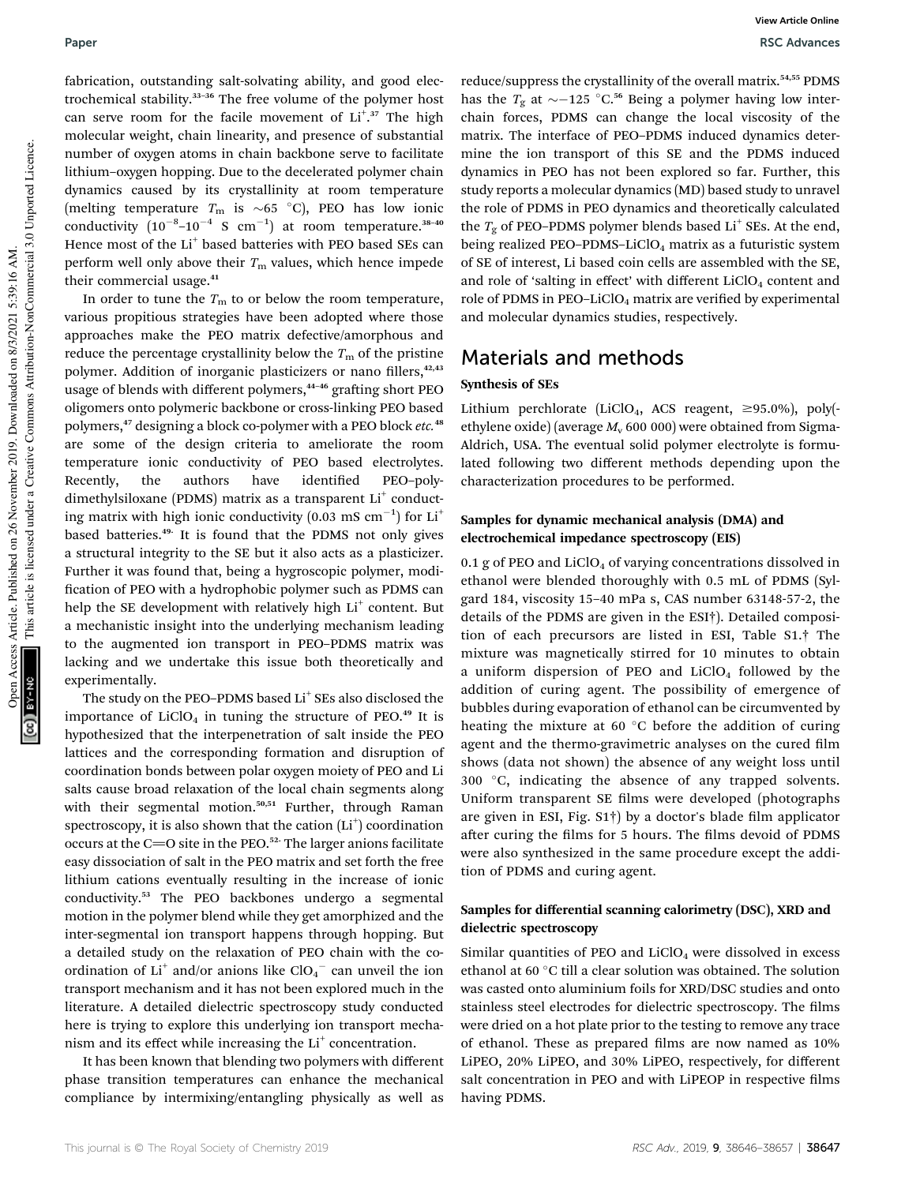fabrication, outstanding salt-solvating ability, and good electrochemical stability.<sup>33</sup>–<sup>36</sup> The free volume of the polymer host can serve room for the facile movement of Li<sup>+</sup>.<sup>37</sup> The high molecular weight, chain linearity, and presence of substantial number of oxygen atoms in chain backbone serve to facilitate lithium–oxygen hopping. Due to the decelerated polymer chain dynamics caused by its crystallinity at room temperature (melting temperature  $T_{\text{m}}$  is  $\sim 65$  °C), PEO has low ionic conductivity  $(10^{-8}-10^{-4} \text{ S cm}^{-1})$  at room temperature.<sup>38-40</sup> Hence most of the Li<sup>+</sup> based batteries with PEO based SEs can perform well only above their  $T<sub>m</sub>$  values, which hence impede their commercial usage.<sup>41</sup>

In order to tune the  $T<sub>m</sub>$  to or below the room temperature, various propitious strategies have been adopted where those approaches make the PEO matrix defective/amorphous and reduce the percentage crystallinity below the  $T<sub>m</sub>$  of the pristine polymer. Addition of inorganic plasticizers or nano fillers,<sup>42,43</sup> usage of blends with different polymers,<sup>44-46</sup> grafting short PEO oligomers onto polymeric backbone or cross-linking PEO based polymers,<sup>47</sup> designing a block co-polymer with a PEO block *etc.*<sup>48</sup> are some of the design criteria to ameliorate the room temperature ionic conductivity of PEO based electrolytes. Recently, the authors have identified PEO-polydimethylsiloxane (PDMS) matrix as a transparent Li<sup>+</sup> conducting matrix with high ionic conductivity (0.03 mS  $\rm cm^{-1})$  for Li $^+$ based batteries.<sup>49</sup> It is found that the PDMS not only gives a structural integrity to the SE but it also acts as a plasticizer. Further it was found that, being a hygroscopic polymer, modi fication of PEO with a hydrophobic polymer such as PDMS can help the SE development with relatively high Li<sup>+</sup> content. But a mechanistic insight into the underlying mechanism leading to the augmented ion transport in PEO–PDMS matrix was lacking and we undertake this issue both theoretically and experimentally.

The study on the PEO–PDMS based  $Li<sup>+</sup>$  SEs also disclosed the importance of  $LiClO<sub>4</sub>$  in tuning the structure of PEO.<sup>49</sup> It is hypothesized that the interpenetration of salt inside the PEO lattices and the corresponding formation and disruption of coordination bonds between polar oxygen moiety of PEO and Li salts cause broad relaxation of the local chain segments along with their segmental motion.<sup>50,51</sup> Further, through Raman spectroscopy, it is also shown that the cation  $(Li^+)$  coordination occurs at the C=O site in the PEO.<sup>52.</sup> The larger anions facilitate easy dissociation of salt in the PEO matrix and set forth the free lithium cations eventually resulting in the increase of ionic conductivity.<sup>53</sup> The PEO backbones undergo a segmental motion in the polymer blend while they get amorphized and the inter-segmental ion transport happens through hopping. But a detailed study on the relaxation of PEO chain with the coordination of  $Li^+$  and/or anions like  $ClO_4^-$  can unveil the ion transport mechanism and it has not been explored much in the literature. A detailed dielectric spectroscopy study conducted here is trying to explore this underlying ion transport mechanism and its effect while increasing the Li<sup>+</sup> concentration.

It has been known that blending two polymers with different phase transition temperatures can enhance the mechanical compliance by intermixing/entangling physically as well as

reduce/suppress the crystallinity of the overall matrix.54,55 PDMS has the  $T_g$  at  $\sim$  -125 °C.<sup>56</sup> Being a polymer having low interchain forces, PDMS can change the local viscosity of the matrix. The interface of PEO–PDMS induced dynamics determine the ion transport of this SE and the PDMS induced dynamics in PEO has not been explored so far. Further, this study reports a molecular dynamics (MD) based study to unravel the role of PDMS in PEO dynamics and theoretically calculated the  $T_{\rm g}$  of PEO–PDMS polymer blends based  ${\rm Li}^+$  SEs. At the end, being realized PEO-PDMS-LiClO<sub>4</sub> matrix as a futuristic system of SE of interest, Li based coin cells are assembled with the SE, and role of 'salting in effect' with different  $LiClO<sub>4</sub>$  content and role of PDMS in PEO-LiClO<sub>4</sub> matrix are verified by experimental and molecular dynamics studies, respectively.

## Materials and methods

#### Synthesis of SEs

Lithium perchlorate (LiClO<sub>4</sub>, ACS reagent,  $\geq$ 95.0%), poly(ethylene oxide) (average  $M_v$  600 000) were obtained from Sigma-Aldrich, USA. The eventual solid polymer electrolyte is formulated following two different methods depending upon the characterization procedures to be performed.

### Samples for dynamic mechanical analysis (DMA) and electrochemical impedance spectroscopy (EIS)

0.1 g of PEO and  $LiClO<sub>4</sub>$  of varying concentrations dissolved in ethanol were blended thoroughly with 0.5 mL of PDMS (Sylgard 184, viscosity 15–40 mPa s, CAS number 63148-57-2, the details of the PDMS are given in the ESI†). Detailed composition of each precursors are listed in ESI, Table S1.† The mixture was magnetically stirred for 10 minutes to obtain a uniform dispersion of PEO and  $LiClO<sub>4</sub>$  followed by the addition of curing agent. The possibility of emergence of bubbles during evaporation of ethanol can be circumvented by heating the mixture at 60 $\degree$ C before the addition of curing agent and the thermo-gravimetric analyses on the cured film shows (data not shown) the absence of any weight loss until  $300$  °C, indicating the absence of any trapped solvents. Uniform transparent SE films were developed (photographs are given in ESI, Fig.  $S1\dagger$ ) by a doctor's blade film applicator after curing the films for 5 hours. The films devoid of PDMS were also synthesized in the same procedure except the addition of PDMS and curing agent.

### Samples for differential scanning calorimetry (DSC), XRD and dielectric spectroscopy

Similar quantities of PEO and  $LiClO<sub>4</sub>$  were dissolved in excess ethanol at 60 °C till a clear solution was obtained. The solution was casted onto aluminium foils for XRD/DSC studies and onto stainless steel electrodes for dielectric spectroscopy. The films were dried on a hot plate prior to the testing to remove any trace of ethanol. These as prepared films are now named as 10% LiPEO, 20% LiPEO, and 30% LiPEO, respectively, for different salt concentration in PEO and with LiPEOP in respective films having PDMS.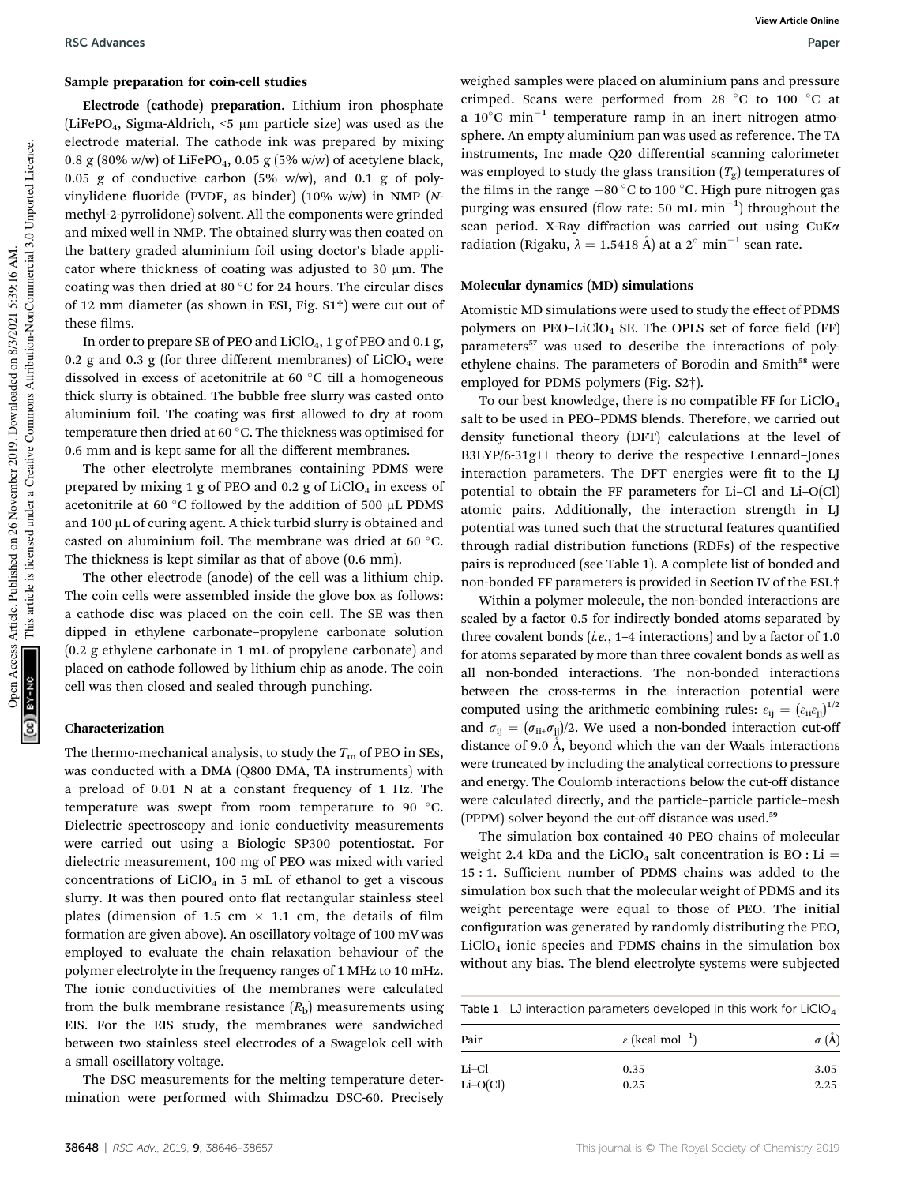#### Sample preparation for coin-cell studies

Electrode (cathode) preparation. Lithium iron phosphate (LiFePO<sub>4</sub>, Sigma-Aldrich,  $\leq$  µm particle size) was used as the electrode material. The cathode ink was prepared by mixing 0.8 g (80% w/w) of LiFePO<sub>4</sub>, 0.05 g (5% w/w) of acetylene black, 0.05 g of conductive carbon  $(5\% \t w/w)$ , and 0.1 g of polyvinylidene fluoride (PVDF, as binder) (10% w/w) in NMP (Nmethyl-2-pyrrolidone) solvent. All the components were grinded and mixed well in NMP. The obtained slurry was then coated on the battery graded aluminium foil using doctor's blade applicator where thickness of coating was adjusted to  $30 \mu m$ . The coating was then dried at 80 $\degree$ C for 24 hours. The circular discs of 12 mm diameter (as shown in ESI, Fig. S1†) were cut out of these films.

In order to prepare SE of PEO and  $LiClO<sub>4</sub>$ , 1 g of PEO and 0.1 g, 0.2 g and 0.3 g (for three different membranes) of  $LiClO<sub>4</sub>$  were dissolved in excess of acetonitrile at 60 $\degree$ C till a homogeneous thick slurry is obtained. The bubble free slurry was casted onto aluminium foil. The coating was first allowed to dry at room temperature then dried at 60 °C. The thickness was optimised for 0.6 mm and is kept same for all the different membranes.

The other electrolyte membranes containing PDMS were prepared by mixing 1 g of PEO and  $0.2$  g of LiClO<sub>4</sub> in excess of acetonitrile at 60 $\degree$ C followed by the addition of 500 µL PDMS and 100 µL of curing agent. A thick turbid slurry is obtained and casted on aluminium foil. The membrane was dried at 60 °C. The thickness is kept similar as that of above (0.6 mm).

The other electrode (anode) of the cell was a lithium chip. The coin cells were assembled inside the glove box as follows: a cathode disc was placed on the coin cell. The SE was then dipped in ethylene carbonate–propylene carbonate solution (0.2 g ethylene carbonate in 1 mL of propylene carbonate) and placed on cathode followed by lithium chip as anode. The coin cell was then closed and sealed through punching.

#### Characterization

The thermo-mechanical analysis, to study the  $T<sub>m</sub>$  of PEO in SEs, was conducted with a DMA (Q800 DMA, TA instruments) with a preload of 0.01 N at a constant frequency of 1 Hz. The temperature was swept from room temperature to 90 °C. Dielectric spectroscopy and ionic conductivity measurements were carried out using a Biologic SP300 potentiostat. For dielectric measurement, 100 mg of PEO was mixed with varied concentrations of  $LiClO<sub>4</sub>$  in 5 mL of ethanol to get a viscous slurry. It was then poured onto flat rectangular stainless steel plates (dimension of 1.5 cm  $\times$  1.1 cm, the details of film formation are given above). An oscillatory voltage of 100 mV was employed to evaluate the chain relaxation behaviour of the polymer electrolyte in the frequency ranges of 1 MHz to 10 mHz. The ionic conductivities of the membranes were calculated from the bulk membrane resistance  $(R<sub>b</sub>)$  measurements using EIS. For the EIS study, the membranes were sandwiched between two stainless steel electrodes of a Swagelok cell with a small oscillatory voltage.

The DSC measurements for the melting temperature determination were performed with Shimadzu DSC-60. Precisely weighed samples were placed on aluminium pans and pressure crimped. Scans were performed from 28  $^{\circ}$ C to 100  $^{\circ}$ C at a 10 $^{\circ}$ C min $^{-1}$  temperature ramp in an inert nitrogen atmosphere. An empty aluminium pan was used as reference. The TA instruments, Inc made Q20 differential scanning calorimeter was employed to study the glass transition  $(T_g)$  temperatures of the films in the range  $-80$  °C to 100 °C. High pure nitrogen gas purging was ensured (flow rate: 50 mL  $min^{-1}$ ) throughout the scan period. X-Ray diffraction was carried out using CuKa radiation (Rigaku,  $\lambda = 1.5418$  Å) at a 2° min<sup>-1</sup> scan rate.

#### Molecular dynamics (MD) simulations

Atomistic MD simulations were used to study the effect of PDMS polymers on PEO-LiClO<sub>4</sub> SE. The OPLS set of force field (FF) parameters<sup>57</sup> was used to describe the interactions of polyethylene chains. The parameters of Borodin and Smith<sup>58</sup> were employed for PDMS polymers (Fig. S2†).

To our best knowledge, there is no compatible FF for  $LiClO<sub>4</sub>$ salt to be used in PEO–PDMS blends. Therefore, we carried out density functional theory (DFT) calculations at the level of B3LYP/6-31g++ theory to derive the respective Lennard–Jones interaction parameters. The DFT energies were fit to the LJ potential to obtain the FF parameters for Li–Cl and Li–O(Cl) atomic pairs. Additionally, the interaction strength in LJ potential was tuned such that the structural features quantified through radial distribution functions (RDFs) of the respective pairs is reproduced (see Table 1). A complete list of bonded and non-bonded FF parameters is provided in Section IV of the ESI.†

Within a polymer molecule, the non-bonded interactions are scaled by a factor 0.5 for indirectly bonded atoms separated by three covalent bonds (*i.e.*, 1–4 interactions) and by a factor of 1.0 for atoms separated by more than three covalent bonds as well as all non-bonded interactions. The non-bonded interactions between the cross-terms in the interaction potential were computed using the arithmetic combining rules:  $\varepsilon_{ij} = (\varepsilon_{ii}\varepsilon_{jj})^{1/2}$ and  $\sigma_{ij} = (\sigma_{ii} + \sigma_{ii})/2$ . We used a non-bonded interaction cut-off distance of 9.0  $\AA$ , beyond which the van der Waals interactions were truncated by including the analytical corrections to pressure and energy. The Coulomb interactions below the cut-off distance were calculated directly, and the particle–particle particle–mesh (PPPM) solver beyond the cut-off distance was used.<sup>59</sup>

The simulation box contained 40 PEO chains of molecular weight 2.4 kDa and the LiClO<sub>4</sub> salt concentration is EO : Li = 15 : 1. Sufficient number of PDMS chains was added to the simulation box such that the molecular weight of PDMS and its weight percentage were equal to those of PEO. The initial configuration was generated by randomly distributing the PEO,  $LiClO<sub>4</sub>$  ionic species and PDMS chains in the simulation box without any bias. The blend electrolyte systems were subjected

Table 1 LJ interaction parameters developed in this work for  $LiClO<sub>4</sub>$ 

| Pair       | $\varepsilon$ (kcal mol <sup>-1</sup> ) | $\sigma(\AA)$ |
|------------|-----------------------------------------|---------------|
| Li-Cl      | 0.35                                    | 3.05          |
| $Li-O(Cl)$ | 0.25                                    | 2.25          |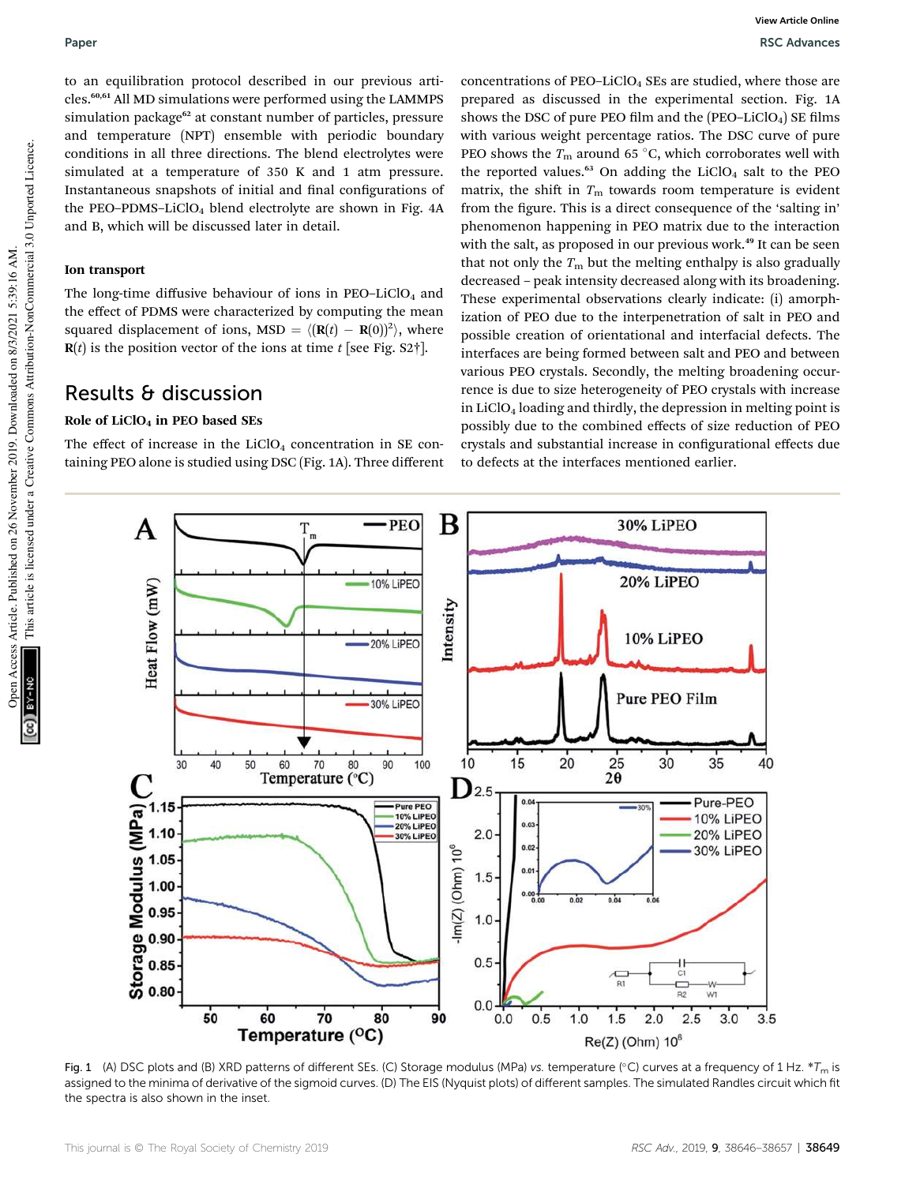to an equilibration protocol described in our previous articles.60,61 All MD simulations were performed using the LAMMPS simulation package<sup>62</sup> at constant number of particles, pressure and temperature (NPT) ensemble with periodic boundary conditions in all three directions. The blend electrolytes were simulated at a temperature of 350 K and 1 atm pressure. Instantaneous snapshots of initial and final configurations of the PEO–PDMS–LiClO<sub>4</sub> blend electrolyte are shown in Fig.  $4A$ and B, which will be discussed later in detail.

### Ion transport

The long-time diffusive behaviour of ions in  $PEO-LiClO<sub>4</sub>$  and the effect of PDMS were characterized by computing the mean squared displacement of ions, MSD =  $\langle (\mathbf{R}(t) - \mathbf{R}(0))^2 \rangle$ , where  **is the position vector of the ions at time**  $t$  **[see Fig. S2†].** 

## Results & discussion

### Role of  $LiClO<sub>4</sub>$  in PEO based SEs

The effect of increase in the  $LiClO<sub>4</sub>$  concentration in SE containing PEO alone is studied using DSC (Fig. 1A). Three different

concentrations of  $PEO-LiClO<sub>4</sub>$  SEs are studied, where those are prepared as discussed in the experimental section. Fig. 1A shows the DSC of pure PEO film and the  $(PEO-LiClO<sub>4</sub>)$  SE films with various weight percentage ratios. The DSC curve of pure PEO shows the  $T_m$  around 65 °C, which corroborates well with the reported values. $63$  On adding the LiClO<sub>4</sub> salt to the PEO matrix, the shift in  $T<sub>m</sub>$  towards room temperature is evident from the figure. This is a direct consequence of the 'salting in' phenomenon happening in PEO matrix due to the interaction with the salt, as proposed in our previous work.<sup>49</sup> It can be seen that not only the  $T<sub>m</sub>$  but the melting enthalpy is also gradually decreased – peak intensity decreased along with its broadening. These experimental observations clearly indicate: (i) amorphization of PEO due to the interpenetration of salt in PEO and possible creation of orientational and interfacial defects. The interfaces are being formed between salt and PEO and between various PEO crystals. Secondly, the melting broadening occurrence is due to size heterogeneity of PEO crystals with increase in  $LiClO<sub>4</sub>$  loading and thirdly, the depression in melting point is possibly due to the combined effects of size reduction of PEO crystals and substantial increase in configurational effects due to defects at the interfaces mentioned earlier.



Fig. 1 (A) DSC plots and (B) XRD patterns of different SEs. (C) Storage modulus (MPa) vs. temperature (°C) curves at a frequency of 1 Hz.  $*T_m$  is assigned to the minima of derivative of the sigmoid curves. (D) The EIS (Nyquist plots) of different samples. The simulated Randles circuit which fit the spectra is also shown in the inset.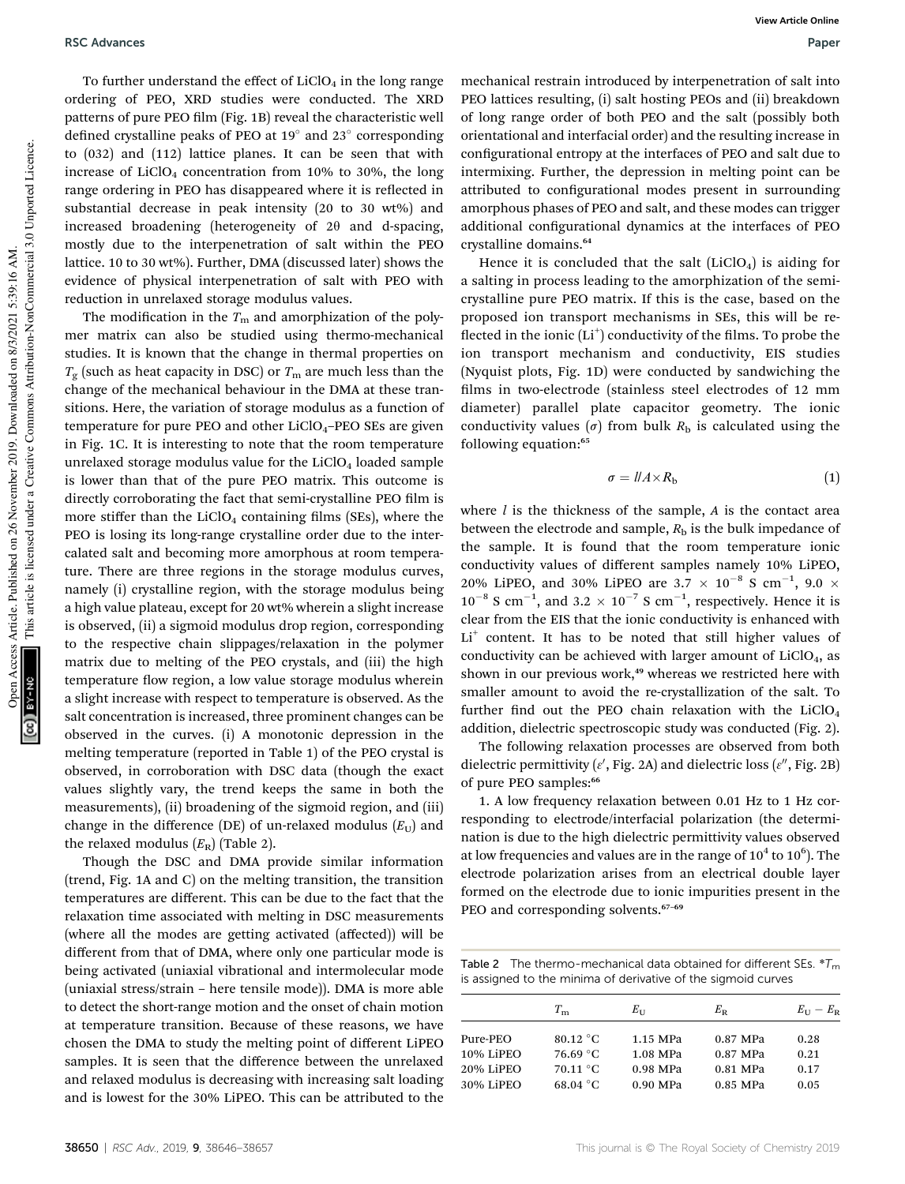To further understand the effect of  $LiClO<sub>4</sub>$  in the long range ordering of PEO, XRD studies were conducted. The XRD patterns of pure PEO film (Fig. 1B) reveal the characteristic well defined crystalline peaks of PEO at  $19^{\circ}$  and  $23^{\circ}$  corresponding to (032) and (112) lattice planes. It can be seen that with increase of  $LiClO<sub>4</sub>$  concentration from 10% to 30%, the long range ordering in PEO has disappeared where it is reflected in substantial decrease in peak intensity (20 to 30 wt%) and increased broadening (heterogeneity of  $2\theta$  and d-spacing, mostly due to the interpenetration of salt within the PEO lattice. 10 to 30 wt%). Further, DMA (discussed later) shows the evidence of physical interpenetration of salt with PEO with reduction in unrelaxed storage modulus values.

The modification in the  $T<sub>m</sub>$  and amorphization of the polymer matrix can also be studied using thermo-mechanical studies. It is known that the change in thermal properties on  $T_{\rm g}$  (such as heat capacity in DSC) or  $T_{\rm m}$  are much less than the change of the mechanical behaviour in the DMA at these transitions. Here, the variation of storage modulus as a function of temperature for pure PEO and other  $LiClO<sub>4</sub>-PEO$  SEs are given in Fig. 1C. It is interesting to note that the room temperature unrelaxed storage modulus value for the  $LiClO<sub>4</sub>$  loaded sample is lower than that of the pure PEO matrix. This outcome is directly corroborating the fact that semi-crystalline PEO film is more stiffer than the  $LiClO<sub>4</sub>$  containing films (SEs), where the PEO is losing its long-range crystalline order due to the intercalated salt and becoming more amorphous at room temperature. There are three regions in the storage modulus curves, namely (i) crystalline region, with the storage modulus being a high value plateau, except for 20 wt% wherein a slight increase is observed, (ii) a sigmoid modulus drop region, corresponding to the respective chain slippages/relaxation in the polymer matrix due to melting of the PEO crystals, and (iii) the high temperature flow region, a low value storage modulus wherein a slight increase with respect to temperature is observed. As the salt concentration is increased, three prominent changes can be observed in the curves. (i) A monotonic depression in the melting temperature (reported in Table 1) of the PEO crystal is observed, in corroboration with DSC data (though the exact values slightly vary, the trend keeps the same in both the measurements), (ii) broadening of the sigmoid region, and (iii) change in the difference (DE) of un-relaxed modulus  $(E_U)$  and the relaxed modulus  $(E_R)$  (Table 2).

Though the DSC and DMA provide similar information (trend, Fig. 1A and C) on the melting transition, the transition temperatures are different. This can be due to the fact that the relaxation time associated with melting in DSC measurements (where all the modes are getting activated (affected)) will be different from that of DMA, where only one particular mode is being activated (uniaxial vibrational and intermolecular mode (uniaxial stress/strain – here tensile mode)). DMA is more able to detect the short-range motion and the onset of chain motion at temperature transition. Because of these reasons, we have chosen the DMA to study the melting point of different LiPEO samples. It is seen that the difference between the unrelaxed and relaxed modulus is decreasing with increasing salt loading and is lowest for the 30% LiPEO. This can be attributed to the

mechanical restrain introduced by interpenetration of salt into PEO lattices resulting, (i) salt hosting PEOs and (ii) breakdown of long range order of both PEO and the salt (possibly both orientational and interfacial order) and the resulting increase in configurational entropy at the interfaces of PEO and salt due to intermixing. Further, the depression in melting point can be attributed to configurational modes present in surrounding amorphous phases of PEO and salt, and these modes can trigger additional configurational dynamics at the interfaces of PEO crystalline domains.<sup>64</sup>

Hence it is concluded that the salt  $(LiClO<sub>4</sub>)$  is aiding for a salting in process leading to the amorphization of the semicrystalline pure PEO matrix. If this is the case, based on the proposed ion transport mechanisms in SEs, this will be re flected in the ionic (Li<sup>+</sup>) conductivity of the films. To probe the ion transport mechanism and conductivity, EIS studies (Nyquist plots, Fig. 1D) were conducted by sandwiching the films in two-electrode (stainless steel electrodes of 12 mm diameter) parallel plate capacitor geometry. The ionic conductivity values ( $\sigma$ ) from bulk  $R<sub>b</sub>$  is calculated using the following equation:<sup>65</sup>

$$
\sigma = l/A \times R_{\rm b} \tag{1}
$$

where *l* is the thickness of the sample, *A* is the contact area between the electrode and sample,  $R<sub>b</sub>$  is the bulk impedance of the sample. It is found that the room temperature ionic conductivity values of different samples namely 10% LiPEO, 20% LiPEO, and 30% LiPEO are 3.7  $\times$  10<sup>-8</sup> S cm<sup>-1</sup>, 9.0  $\times$  $10^{-8}$  S cm<sup>-1</sup>, and 3.2  $\times$  10<sup>-7</sup> S cm<sup>-1</sup>, respectively. Hence it is clear from the EIS that the ionic conductivity is enhanced with Li<sup>+</sup> content. It has to be noted that still higher values of conductivity can be achieved with larger amount of  $LiClO<sub>4</sub>$ , as shown in our previous work,<sup>49</sup> whereas we restricted here with smaller amount to avoid the re-crystallization of the salt. To further find out the PEO chain relaxation with the  $LiClO<sub>4</sub>$ addition, dielectric spectroscopic study was conducted (Fig. 2).

The following relaxation processes are observed from both dielectric permittivity ( $\varepsilon'$ , Fig. 2A) and dielectric loss ( $\varepsilon''$ , Fig. 2B) of pure PEO samples:<sup>66</sup>

1. A low frequency relaxation between 0.01 Hz to 1 Hz corresponding to electrode/interfacial polarization (the determination is due to the high dielectric permittivity values observed at low frequencies and values are in the range of  $10^4$  to  $10^6$ ). The electrode polarization arises from an electrical double layer formed on the electrode due to ionic impurities present in the PEO and corresponding solvents.<sup>67-69</sup>

Table 2 The thermo-mechanical data obtained for different SEs.  ${}^*T_m$ is assigned to the minima of derivative of the sigmoid curves

|           | $T_{\rm m}$        | $E_{11}$ | $E_{\rm R}$ | $E_{\text{H}}-E_{\text{R}}$ |
|-----------|--------------------|----------|-------------|-----------------------------|
| Pure-PEO  | $80.12 \text{ °C}$ | 1.15 MPa | 0.87 MPa    | 0.28                        |
| 10% LiPEO | 76.69 °C           | 1.08 MPa | 0.87 MPa    | 0.21                        |
| 20% LiPEO | 70.11 °C           | 0.98 MPa | 0.81 MPa    | 0.17                        |
| 30% LiPEO | $68.04\text{ °C}$  | 0.90 MPa | 0.85 MPa    | 0.05                        |

This article is licensed under a Creative Commons Attribution-NonCommercial 3.0 Unported Licence.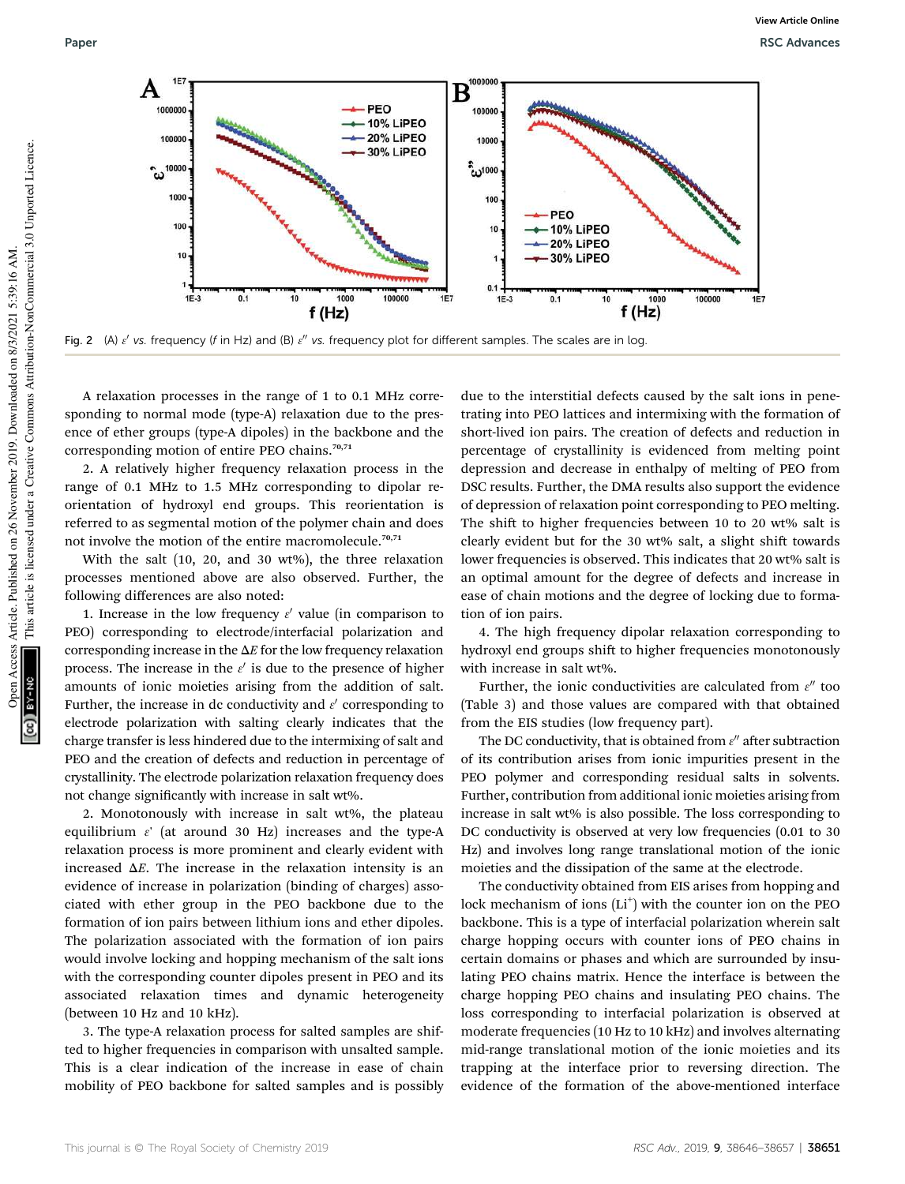

Fig. 2 (A)  $\varepsilon'$  vs. frequency (f in Hz) and (B)  $\varepsilon''$  vs. frequency plot for different samples. The scales are in log.

A relaxation processes in the range of 1 to 0.1 MHz corresponding to normal mode (type-A) relaxation due to the presence of ether groups (type-A dipoles) in the backbone and the corresponding motion of entire PEO chains.<sup>70,71</sup>

2. A relatively higher frequency relaxation process in the range of 0.1 MHz to 1.5 MHz corresponding to dipolar reorientation of hydroxyl end groups. This reorientation is referred to as segmental motion of the polymer chain and does not involve the motion of the entire macromolecule.<sup>70,71</sup>

With the salt (10, 20, and 30 wt%), the three relaxation processes mentioned above are also observed. Further, the following differences are also noted:

1. Increase in the low frequency  $\varepsilon'$  value (in comparison to PEO) corresponding to electrode/interfacial polarization and corresponding increase in the  $\Delta E$  for the low frequency relaxation process. The increase in the  $\varepsilon'$  is due to the presence of higher amounts of ionic moieties arising from the addition of salt. Further, the increase in dc conductivity and  $\varepsilon'$  corresponding to electrode polarization with salting clearly indicates that the charge transfer is less hindered due to the intermixing of salt and PEO and the creation of defects and reduction in percentage of crystallinity. The electrode polarization relaxation frequency does not change significantly with increase in salt wt%.

2. Monotonously with increase in salt wt%, the plateau equilibrium  $\varepsilon'$  (at around 30 Hz) increases and the type-A relaxation process is more prominent and clearly evident with increased  $\Delta E$ . The increase in the relaxation intensity is an evidence of increase in polarization (binding of charges) associated with ether group in the PEO backbone due to the formation of ion pairs between lithium ions and ether dipoles. The polarization associated with the formation of ion pairs would involve locking and hopping mechanism of the salt ions with the corresponding counter dipoles present in PEO and its associated relaxation times and dynamic heterogeneity (between 10 Hz and 10 kHz).

3. The type-A relaxation process for salted samples are shifted to higher frequencies in comparison with unsalted sample. This is a clear indication of the increase in ease of chain mobility of PEO backbone for salted samples and is possibly

due to the interstitial defects caused by the salt ions in penetrating into PEO lattices and intermixing with the formation of short-lived ion pairs. The creation of defects and reduction in percentage of crystallinity is evidenced from melting point depression and decrease in enthalpy of melting of PEO from DSC results. Further, the DMA results also support the evidence of depression of relaxation point corresponding to PEO melting. The shift to higher frequencies between 10 to 20 wt% salt is clearly evident but for the 30 wt% salt, a slight shift towards lower frequencies is observed. This indicates that 20 wt% salt is an optimal amount for the degree of defects and increase in ease of chain motions and the degree of locking due to formation of ion pairs.

4. The high frequency dipolar relaxation corresponding to hydroxyl end groups shift to higher frequencies monotonously with increase in salt wt%.

Further, the ionic conductivities are calculated from  $\varepsilon''$  too (Table 3) and those values are compared with that obtained from the EIS studies (low frequency part).

The DC conductivity, that is obtained from  $\varepsilon''$  after subtraction of its contribution arises from ionic impurities present in the PEO polymer and corresponding residual salts in solvents. Further, contribution from additional ionic moieties arising from increase in salt wt% is also possible. The loss corresponding to DC conductivity is observed at very low frequencies  $(0.01 \text{ to } 30)$ Hz) and involves long range translational motion of the ionic moieties and the dissipation of the same at the electrode.

The conductivity obtained from EIS arises from hopping and lock mechanism of ions  $(Li^+)$  with the counter ion on the PEO backbone. This is a type of interfacial polarization wherein salt charge hopping occurs with counter ions of PEO chains in certain domains or phases and which are surrounded by insulating PEO chains matrix. Hence the interface is between the charge hopping PEO chains and insulating PEO chains. The loss corresponding to interfacial polarization is observed at moderate frequencies (10 Hz to 10 kHz) and involves alternating mid-range translational motion of the ionic moieties and its trapping at the interface prior to reversing direction. The evidence of the formation of the above-mentioned interface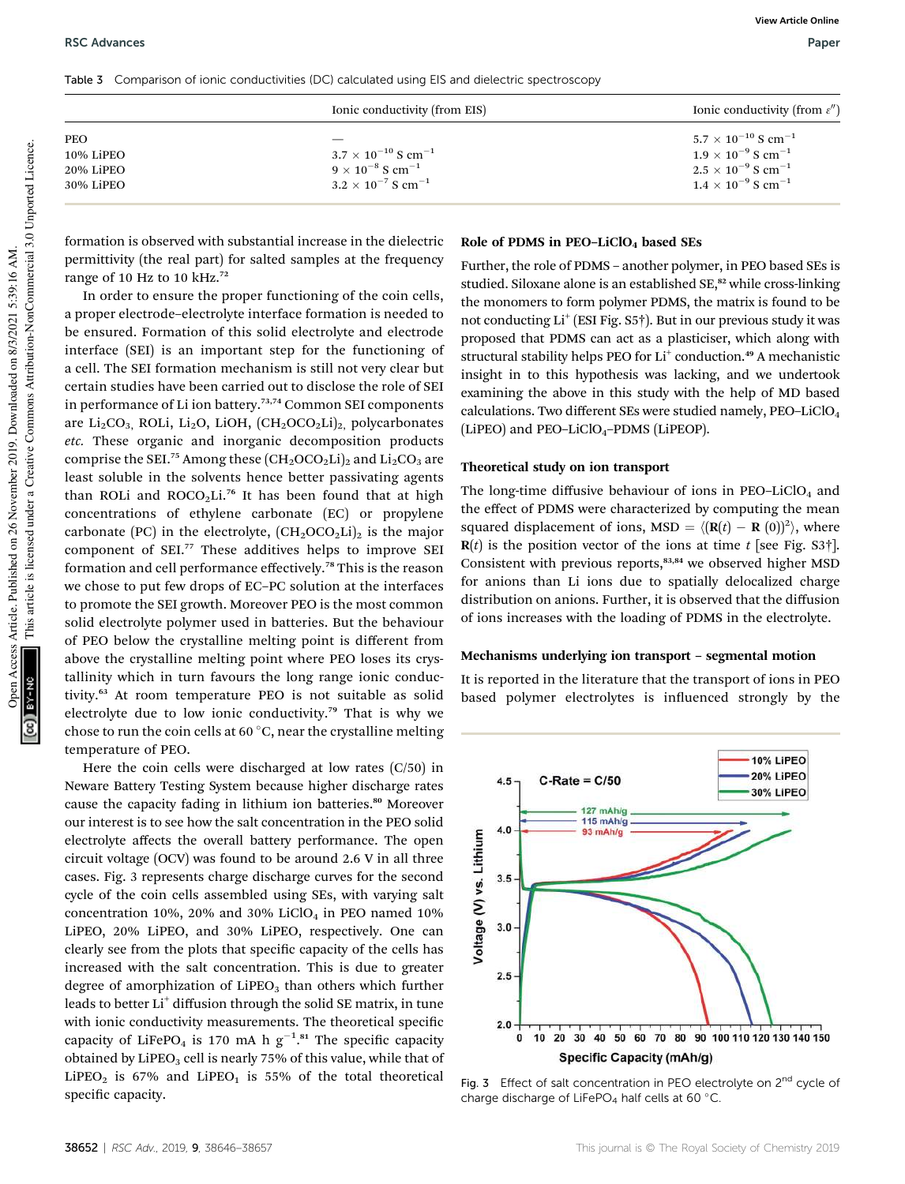Table 3 Comparison of ionic conductivities (DC) calculated using EIS and dielectric spectroscopy

formation is observed with substantial increase in the dielectric permittivity (the real part) for salted samples at the frequency range of 10 Hz to 10 kHz.<sup>72</sup>

In order to ensure the proper functioning of the coin cells, a proper electrode–electrolyte interface formation is needed to be ensured. Formation of this solid electrolyte and electrode interface (SEI) is an important step for the functioning of a cell. The SEI formation mechanism is still not very clear but certain studies have been carried out to disclose the role of SEI in performance of Li ion battery.73,74 Common SEI components are Li<sub>2</sub>CO<sub>3</sub>, ROLi, Li<sub>2</sub>O, LiOH,  $(CH_2OCO_2Li)_2$ , polycarbonates *etc.* These organic and inorganic decomposition products comprise the SEL<sup>75</sup> Among these  $(CH_2OCO_2Li)_2$  and  $Li_2CO_3$  are least soluble in the solvents hence better passivating agents than ROLi and  $ROCO<sub>2</sub>Li.<sup>76</sup>$  It has been found that at high concentrations of ethylene carbonate (EC) or propylene carbonate (PC) in the electrolyte,  $(CH_2OCO_2Li)_2$  is the major component of SEI.<sup>77</sup> These additives helps to improve SEI formation and cell performance effectively.<sup>78</sup> This is the reason we chose to put few drops of EC–PC solution at the interfaces to promote the SEI growth. Moreover PEO is the most common solid electrolyte polymer used in batteries. But the behaviour of PEO below the crystalline melting point is different from above the crystalline melting point where PEO loses its crystallinity which in turn favours the long range ionic conductivity.<sup>63</sup> At room temperature PEO is not suitable as solid electrolyte due to low ionic conductivity.<sup>79</sup> That is why we chose to run the coin cells at 60 $\degree$ C, near the crystalline melting temperature of PEO.

Here the coin cells were discharged at low rates (C/50) in Neware Battery Testing System because higher discharge rates cause the capacity fading in lithium ion batteries.<sup>80</sup> Moreover our interest is to see how the salt concentration in the PEO solid electrolyte affects the overall battery performance. The open circuit voltage (OCV) was found to be around 2.6 V in all three cases. Fig. 3 represents charge discharge curves for the second cycle of the coin cells assembled using SEs, with varying salt concentration 10%, 20% and 30% LiClO<sub>4</sub> in PEO named 10% LiPEO, 20% LiPEO, and 30% LiPEO, respectively. One can clearly see from the plots that specific capacity of the cells has increased with the salt concentration. This is due to greater degree of amorphization of  $Lipeo<sub>3</sub>$  than others which further leads to better Li<sup>+</sup> diffusion through the solid SE matrix, in tune with ionic conductivity measurements. The theoretical specific capacity of LiFePO<sub>4</sub> is 170 mA h  $g^{-1}.$ <sup>81</sup> The specific capacity obtained by LiPEO<sub>3</sub> cell is nearly 75% of this value, while that of LiPEO<sub>2</sub> is 67% and LiPEO<sub>1</sub> is 55% of the total theoretical specific capacity.

#### Role of PDMS in PEO-LiClO<sub>4</sub> based SEs

Further, the role of PDMS – another polymer, in PEO based SEs is studied. Siloxane alone is an established SE,<sup>82</sup> while cross-linking the monomers to form polymer PDMS, the matrix is found to be not conducting Li<sup>+</sup> (ESI Fig. S5<sup>†</sup>). But in our previous study it was proposed that PDMS can act as a plasticiser, which along with structural stability helps PEO for Li<sup>+</sup> conduction.<sup>49</sup> A mechanistic insight in to this hypothesis was lacking, and we undertook examining the above in this study with the help of MD based calculations. Two different SEs were studied namely, PEO–LiClO<sup>4</sup> (LiPEO) and PEO-LiClO<sub>4</sub>-PDMS (LiPEOP).

#### Theoretical study on ion transport

The long-time diffusive behaviour of ions in  $PEO-LiClO<sub>4</sub>$  and the effect of PDMS were characterized by computing the mean squared displacement of ions,  $MSD = \langle (\mathbf{R}(t) - \mathbf{R}(0))^2 \rangle$ , where  $R(t)$  is the position vector of the ions at time *t* [see Fig. S3†]. Consistent with previous reports,<sup>83,84</sup> we observed higher MSD for anions than Li ions due to spatially delocalized charge distribution on anions. Further, it is observed that the diffusion of ions increases with the loading of PDMS in the electrolyte.

#### Mechanisms underlying ion transport – segmental motion

It is reported in the literature that the transport of ions in PEO based polymer electrolytes is influenced strongly by the



Fig. 3 Effect of salt concentration in PEO electrolyte on  $2^{nd}$  cycle of charge discharge of LiFePO<sub>4</sub> half cells at 60 $\degree$ C.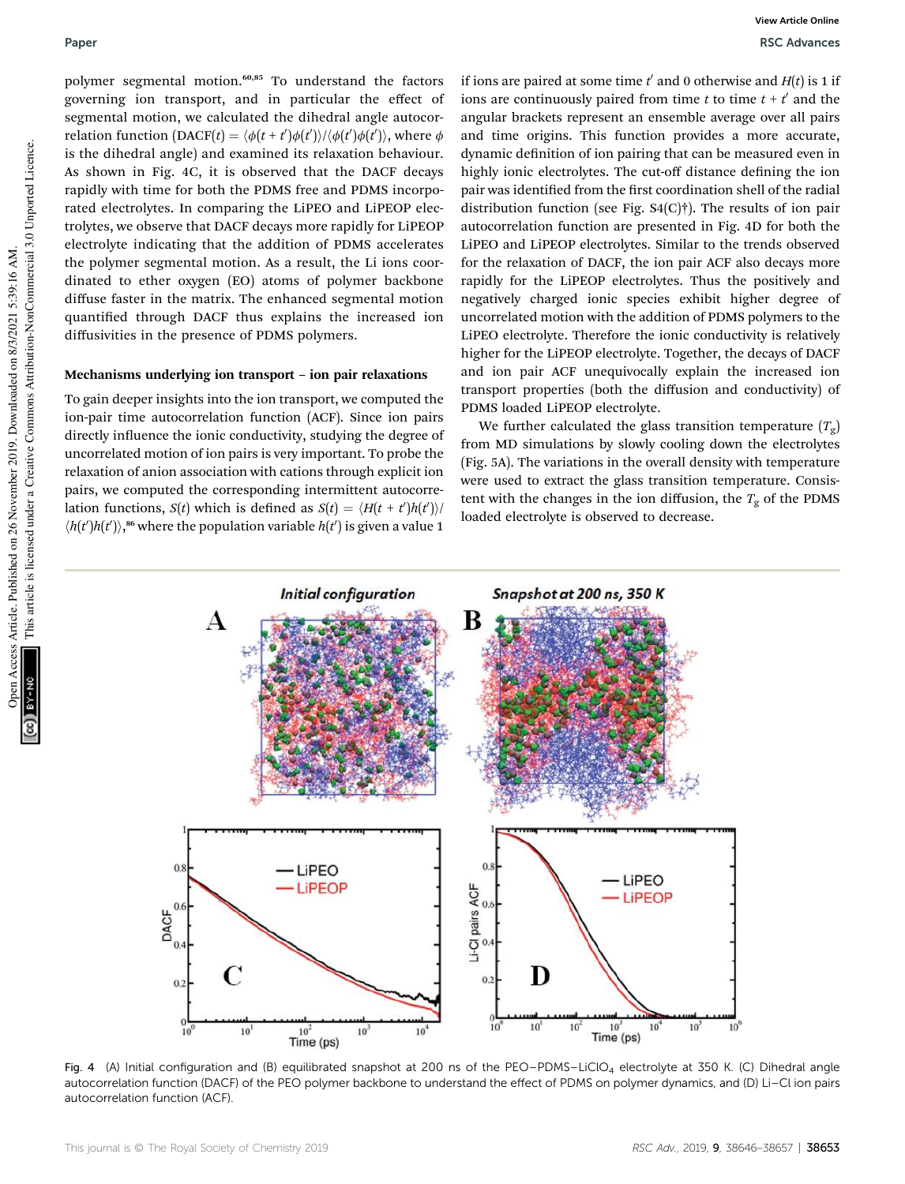polymer segmental motion.<sup>60,85</sup> To understand the factors governing ion transport, and in particular the effect of segmental motion, we calculated the dihedral angle autocorrelation function  $(DACF(t) = \langle \phi(t+t') \phi(t') \rangle / \langle \phi(t') \phi(t') \rangle$ , where  $\phi$ is the dihedral angle) and examined its relaxation behaviour. As shown in Fig. 4C, it is observed that the DACF decays rapidly with time for both the PDMS free and PDMS incorporated electrolytes. In comparing the LiPEO and LiPEOP electrolytes, we observe that DACF decays more rapidly for LiPEOP electrolyte indicating that the addition of PDMS accelerates the polymer segmental motion. As a result, the Li ions coordinated to ether oxygen (EO) atoms of polymer backbone diffuse faster in the matrix. The enhanced segmental motion quantified through DACF thus explains the increased ion diffusivities in the presence of PDMS polymers.

#### Mechanisms underlying ion transport – ion pair relaxations

To gain deeper insights into the ion transport, we computed the ion-pair time autocorrelation function (ACF). Since ion pairs directly influence the ionic conductivity, studying the degree of uncorrelated motion of ion pairs is very important. To probe the relaxation of anion association with cations through explicit ion pairs, we computed the corresponding intermittent autocorrelation functions, *S*(*t*) which is defined as *S*(*t*) =  $\langle H(t + t')h(t') \rangle$  $\langle h(t')h(t')\rangle$ , <sup>86</sup> where the population variable  $h(t')$  is given a value 1

if ions are paired at some time  $t'$  and 0 otherwise and  $H(t)$  is 1 if ions are continuously paired from time  $t$  to time  $t + t'$  and the angular brackets represent an ensemble average over all pairs and time origins. This function provides a more accurate, dynamic definition of ion pairing that can be measured even in highly ionic electrolytes. The cut-off distance defining the ion pair was identified from the first coordination shell of the radial distribution function (see Fig. S4(C)†). The results of ion pair autocorrelation function are presented in Fig. 4D for both the LiPEO and LiPEOP electrolytes. Similar to the trends observed for the relaxation of DACF, the ion pair ACF also decays more rapidly for the LiPEOP electrolytes. Thus the positively and negatively charged ionic species exhibit higher degree of uncorrelated motion with the addition of PDMS polymers to the LiPEO electrolyte. Therefore the ionic conductivity is relatively higher for the LiPEOP electrolyte. Together, the decays of DACF and ion pair ACF unequivocally explain the increased ion transport properties (both the diffusion and conductivity) of PDMS loaded LiPEOP electrolyte.

We further calculated the glass transition temperature (*T*<sup>g</sup> ) from MD simulations by slowly cooling down the electrolytes (Fig. 5A). The variations in the overall density with temperature were used to extract the glass transition temperature. Consistent with the changes in the ion diffusion, the  $T_g$  of the PDMS loaded electrolyte is observed to decrease.



Fig. 4 (A) Initial configuration and (B) equilibrated snapshot at 200 ns of the PEO–PDMS–LiClO<sub>4</sub> electrolyte at 350 K. (C) Dihedral angle autocorrelation function (DACF) of the PEO polymer backbone to understand the effect of PDMS on polymer dynamics, and (D) Li–Cl ion pairs autocorrelation function (ACF).

This article is licensed under a Creative Commons Attribution-NonCommercial 3.0 Unported Licence.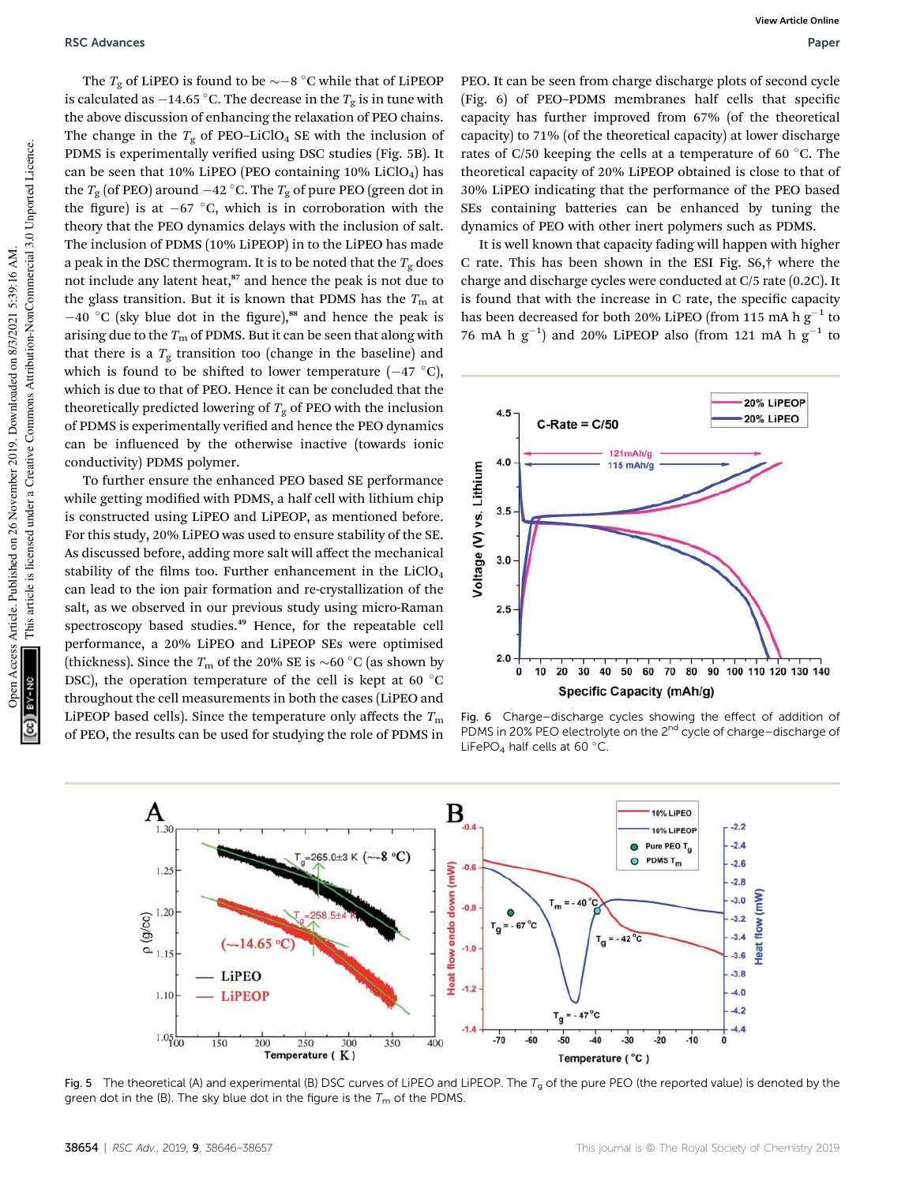The  $T_{\rm g}$  of LiPEO is found to be  $\sim$  –8  $^{\circ}$ C while that of LiPEOP is calculated as  $-$ 14.65  $^{\circ}$ C. The decrease in the  $T_{\mathrm{g}}$  is in tune with the above discussion of enhancing the relaxation of PEO chains. The change in the  $T_{\rm g}$  of PEO-LiClO<sub>4</sub> SE with the inclusion of PDMS is experimentally verified using DSC studies (Fig. 5B). It can be seen that 10% LiPEO (PEO containing 10% LiClO<sub>4</sub>) has the  $T_{\rm g}$  (of PEO) around  $-42$  °C. The  $T_{\rm g}$  of pure PEO (green dot in the figure) is at  $-67$  °C, which is in corroboration with the theory that the PEO dynamics delays with the inclusion of salt. The inclusion of PDMS (10% LiPEOP) in to the LiPEO has made a peak in the DSC thermogram. It is to be noted that the  $T_g$  does not include any latent heat,<sup>87</sup> and hence the peak is not due to the glass transition. But it is known that PDMS has the  $T<sub>m</sub>$  at  $-40$  °C (sky blue dot in the figure),<sup>88</sup> and hence the peak is arising due to the  $T<sub>m</sub>$  of PDMS. But it can be seen that along with that there is a  $T_g$  transition too (change in the baseline) and which is found to be shifted to lower temperature  $(-47 \degree C)$ , which is due to that of PEO. Hence it can be concluded that the theoretically predicted lowering of  $T_g$  of PEO with the inclusion of PDMS is experimentally verified and hence the PEO dynamics can be influenced by the otherwise inactive (towards ionic conductivity) PDMS polymer.

To further ensure the enhanced PEO based SE performance while getting modified with PDMS, a half cell with lithium chip is constructed using LiPEO and LiPEOP, as mentioned before. For this study, 20% LiPEO was used to ensure stability of the SE. As discussed before, adding more salt will affect the mechanical stability of the films too. Further enhancement in the  $LiClO<sub>4</sub>$ can lead to the ion pair formation and re-crystallization of the salt, as we observed in our previous study using micro-Raman spectroscopy based studies.<sup>49</sup> Hence, for the repeatable cell performance, a 20% LiPEO and LiPEOP SEs were optimised (thickness). Since the  $T_m$  of the 20% SE is  $\sim$  60 °C (as shown by DSC), the operation temperature of the cell is kept at 60  $^{\circ}$ C throughout the cell measurements in both the cases (LiPEO and LiPEOP based cells). Since the temperature only affects the  $T_{\text{m}}$ of PEO, the results can be used for studying the role of PDMS in PEO. It can be seen from charge discharge plots of second cycle (Fig. 6) of PEO-PDMS membranes half cells that specific capacity has further improved from 67% (of the theoretical capacity) to 71% (of the theoretical capacity) at lower discharge rates of C/50 keeping the cells at a temperature of 60  $\degree$ C. The theoretical capacity of 20% LiPEOP obtained is close to that of 30% LiPEO indicating that the performance of the PEO based SEs containing batteries can be enhanced by tuning the dynamics of PEO with other inert polymers such as PDMS.

It is well known that capacity fading will happen with higher C rate. This has been shown in the ESI Fig. S6,† where the charge and discharge cycles were conducted at C/5 rate (0.2C). It is found that with the increase in C rate, the specific capacity has been decreased for both 20% LiPEO (from 115 mA h  $\rm g^{-1}$  to 76 mA h  $g^{-1}$ ) and 20% LiPEOP also (from 121 mA h  $g^{-1}$  to



Fig. 6 Charge–discharge cycles showing the effect of addition of PDMS in 20% PEO electrolyte on the 2<sup>nd</sup> cycle of charge–discharge of LiFePO<sub>4</sub> half cells at 60 $^{\circ}$ C.



Fig. 5 The theoretical (A) and experimental (B) DSC curves of LiPEO and LiPEOP. The  $T_g$  of the pure PEO (the reported value) is denoted by the green dot in the (B). The sky blue dot in the figure is the  $T_m$  of the PDMS.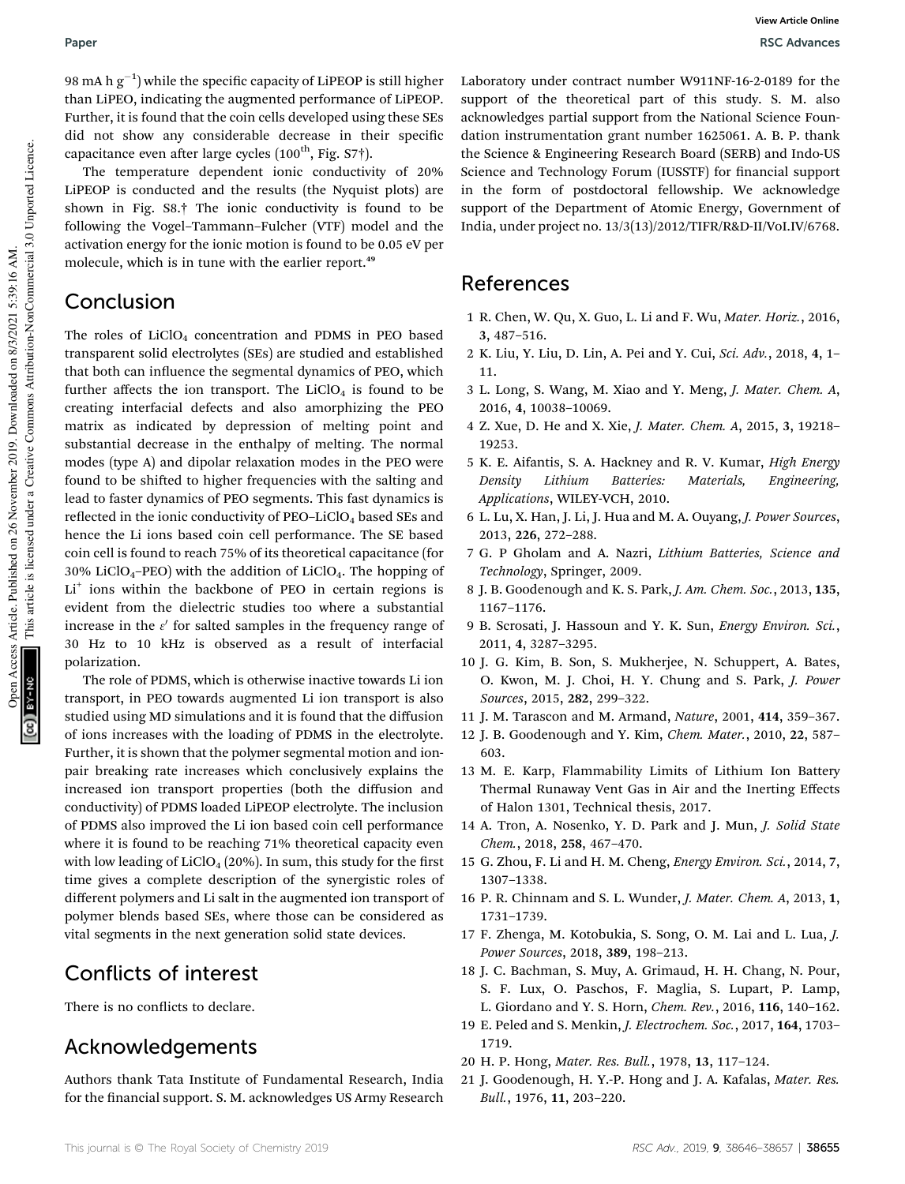98 mA h  $\rm g^{-1})$  while the specific capacity of LiPEOP is still higher than LiPEO, indicating the augmented performance of LiPEOP. Further, it is found that the coin cells developed using these SEs did not show any considerable decrease in their specific capacitance even after large cycles  $(100<sup>th</sup>, Fig. S7<sup>†</sup>).$ 

The temperature dependent ionic conductivity of 20% LiPEOP is conducted and the results (the Nyquist plots) are shown in Fig. S8.† The ionic conductivity is found to be following the Vogel–Tammann–Fulcher (VTF) model and the activation energy for the ionic motion is found to be 0.05 eV per molecule, which is in tune with the earlier report.<sup>49</sup>

# Conclusion

The roles of  $LiClO<sub>4</sub>$  concentration and PDMS in PEO based transparent solid electrolytes (SEs) are studied and established that both can influence the segmental dynamics of PEO, which further affects the ion transport. The  $LiClO<sub>4</sub>$  is found to be creating interfacial defects and also amorphizing the PEO matrix as indicated by depression of melting point and substantial decrease in the enthalpy of melting. The normal modes (type A) and dipolar relaxation modes in the PEO were found to be shifted to higher frequencies with the salting and lead to faster dynamics of PEO segments. This fast dynamics is reflected in the ionic conductivity of  $PEO-LiClO<sub>4</sub>$  based SEs and hence the Li ions based coin cell performance. The SE based coin cell is found to reach 75% of its theoretical capacitance (for  $30\%$  LiClO<sub>4</sub>–PEO) with the addition of LiClO<sub>4</sub>. The hopping of Li<sup>+</sup> ions within the backbone of PEO in certain regions is evident from the dielectric studies too where a substantial increase in the  $\varepsilon'$  for salted samples in the frequency range of 30 Hz to 10 kHz is observed as a result of interfacial polarization.

The role of PDMS, which is otherwise inactive towards Li ion transport, in PEO towards augmented Li ion transport is also studied using MD simulations and it is found that the diffusion of ions increases with the loading of PDMS in the electrolyte. Further, it is shown that the polymer segmental motion and ionpair breaking rate increases which conclusively explains the increased ion transport properties (both the diffusion and conductivity) of PDMS loaded LiPEOP electrolyte. The inclusion of PDMS also improved the Li ion based coin cell performance where it is found to be reaching 71% theoretical capacity even with low leading of  $LiClO<sub>4</sub>$  (20%). In sum, this study for the first time gives a complete description of the synergistic roles of different polymers and Li salt in the augmented ion transport of polymer blends based SEs, where those can be considered as vital segments in the next generation solid state devices.

# Conflicts of interest

There is no conflicts to declare.

# Acknowledgements

Authors thank Tata Institute of Fundamental Research, India for the financial support. S. M. acknowledges US Army Research

Laboratory under contract number W911NF-16-2-0189 for the support of the theoretical part of this study. S. M. also acknowledges partial support from the National Science Foundation instrumentation grant number 1625061. A. B. P. thank the Science & Engineering Research Board (SERB) and Indo-US Science and Technology Forum (IUSSTF) for financial support in the form of postdoctoral fellowship. We acknowledge support of the Department of Atomic Energy, Government of India, under project no. 13/3(13)/2012/TIFR/R&D-II/VoI.IV/6768.

# References

- 1 R. Chen, W. Qu, X. Guo, L. Li and F. Wu, *Mater. Horiz.*, 2016, 3, 487–516.
- 2 K. Liu, Y. Liu, D. Lin, A. Pei and Y. Cui, *Sci. Adv.*, 2018, 4, 1– 11.
- 3 L. Long, S. Wang, M. Xiao and Y. Meng, *J. Mater. Chem. A*, 2016, 4, 10038–10069.
- 4 Z. Xue, D. He and X. Xie, *J. Mater. Chem. A*, 2015, 3, 19218– 19253.
- 5 K. E. Aifantis, S. A. Hackney and R. V. Kumar, *High Energy Density Lithium Batteries: Materials, Engineering, Applications*, WILEY-VCH, 2010.
- 6 L. Lu, X. Han, J. Li, J. Hua and M. A. Ouyang, *J. Power Sources*, 2013, 226, 272–288.
- 7 G. P Gholam and A. Nazri, *Lithium Batteries, Science and Technology*, Springer, 2009.
- 8 J. B. Goodenough and K. S. Park, *J. Am. Chem. Soc.*, 2013, 135, 1167–1176.
- 9 B. Scrosati, J. Hassoun and Y. K. Sun, *Energy Environ. Sci.*, 2011, 4, 3287–3295.
- 10 J. G. Kim, B. Son, S. Mukherjee, N. Schuppert, A. Bates, O. Kwon, M. J. Choi, H. Y. Chung and S. Park, *J. Power Sources*, 2015, 282, 299–322.
- 11 J. M. Tarascon and M. Armand, *Nature*, 2001, 414, 359–367.
- 12 J. B. Goodenough and Y. Kim, *Chem. Mater.*, 2010, 22, 587– 603.
- 13 M. E. Karp, Flammability Limits of Lithium Ion Battery Thermal Runaway Vent Gas in Air and the Inerting Effects of Halon 1301, Technical thesis, 2017.
- 14 A. Tron, A. Nosenko, Y. D. Park and J. Mun, *J. Solid State Chem.*, 2018, 258, 467–470.
- 15 G. Zhou, F. Li and H. M. Cheng, *Energy Environ. Sci.*, 2014, 7, 1307–1338.
- 16 P. R. Chinnam and S. L. Wunder, *J. Mater. Chem. A*, 2013, 1, 1731–1739.
- 17 F. Zhenga, M. Kotobukia, S. Song, O. M. Lai and L. Lua, *J. Power Sources*, 2018, 389, 198–213.
- 18 J. C. Bachman, S. Muy, A. Grimaud, H. H. Chang, N. Pour, S. F. Lux, O. Paschos, F. Maglia, S. Lupart, P. Lamp, L. Giordano and Y. S. Horn, *Chem. Rev.*, 2016, 116, 140–162.
- 19 E. Peled and S. Menkin, *J. Electrochem. Soc.*, 2017, 164, 1703– 1719.
- 20 H. P. Hong, *Mater. Res. Bull.*, 1978, 13, 117–124.
- 21 J. Goodenough, H. Y.-P. Hong and J. A. Kafalas, *Mater. Res. Bull.*, 1976, 11, 203–220.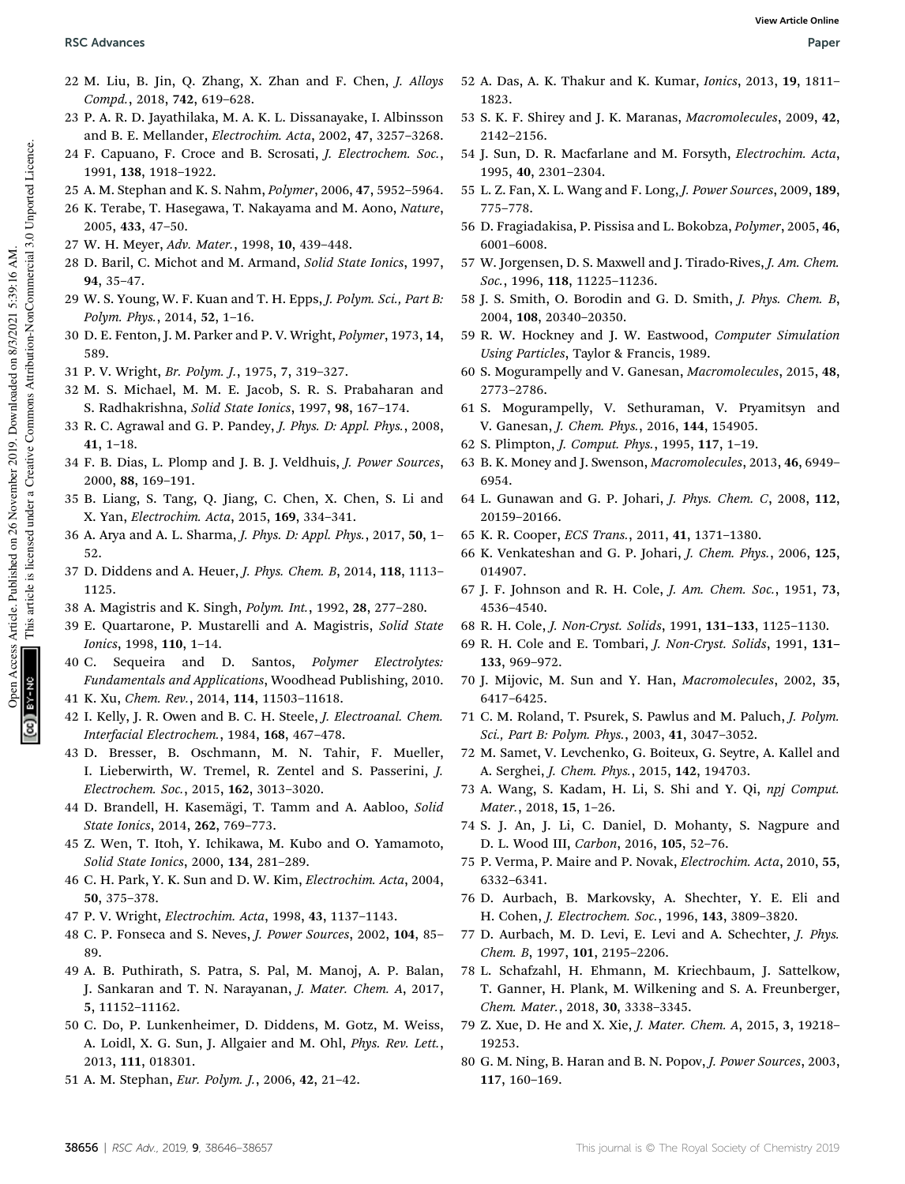- 22 M. Liu, B. Jin, Q. Zhang, X. Zhan and F. Chen, *J. Alloys Compd.*, 2018, 742, 619–628.
- 23 P. A. R. D. Jayathilaka, M. A. K. L. Dissanayake, I. Albinsson and B. E. Mellander, *Electrochim. Acta*, 2002, 47, 3257–3268.
- 24 F. Capuano, F. Croce and B. Scrosati, *J. Electrochem. Soc.*, 1991, 138, 1918–1922.
- 25 A. M. Stephan and K. S. Nahm, *Polymer*, 2006, 47, 5952–5964.
- 26 K. Terabe, T. Hasegawa, T. Nakayama and M. Aono, *Nature*, 2005, 433, 47–50.
- 27 W. H. Meyer, *Adv. Mater.*, 1998, 10, 439–448.
- 28 D. Baril, C. Michot and M. Armand, *Solid State Ionics*, 1997, 94, 35–47.
- 29 W. S. Young, W. F. Kuan and T. H. Epps, *J. Polym. Sci., Part B: Polym. Phys.*, 2014, 52, 1–16.
- 30 D. E. Fenton, J. M. Parker and P. V. Wright, *Polymer*, 1973, 14, 589.
- 31 P. V. Wright, *Br. Polym. J.*, 1975, 7, 319–327.
- 32 M. S. Michael, M. M. E. Jacob, S. R. S. Prabaharan and S. Radhakrishna, *Solid State Ionics*, 1997, 98, 167–174.
- 33 R. C. Agrawal and G. P. Pandey, *J. Phys. D: Appl. Phys.*, 2008, 41, 1–18.
- 34 F. B. Dias, L. Plomp and J. B. J. Veldhuis, *J. Power Sources*, 2000, 88, 169–191.
- 35 B. Liang, S. Tang, Q. Jiang, C. Chen, X. Chen, S. Li and X. Yan, *Electrochim. Acta*, 2015, 169, 334–341.
- 36 A. Arya and A. L. Sharma, *J. Phys. D: Appl. Phys.*, 2017, 50, 1– 52.
- 37 D. Diddens and A. Heuer, *J. Phys. Chem. B*, 2014, 118, 1113– 1125.
- 38 A. Magistris and K. Singh, *Polym. Int.*, 1992, 28, 277–280.
- 39 E. Quartarone, P. Mustarelli and A. Magistris, *Solid State Ionics*, 1998, 110, 1–14.
- 40 C. Sequeira and D. Santos, *Polymer Electrolytes: Fundamentals and Applications*, Woodhead Publishing, 2010. 41 K. Xu, *Chem. Rev.*, 2014, 114, 11503–11618.
- 
- 42 I. Kelly, J. R. Owen and B. C. H. Steele, *J. Electroanal. Chem. Interfacial Electrochem.*, 1984, 168, 467–478.
- 43 D. Bresser, B. Oschmann, M. N. Tahir, F. Mueller, I. Lieberwirth, W. Tremel, R. Zentel and S. Passerini, *J. Electrochem. Soc.*, 2015, 162, 3013–3020.
- 44 D. Brandell, H. Kasemägi, T. Tamm and A. Aabloo, *Solid State Ionics*, 2014, 262, 769–773.
- 45 Z. Wen, T. Itoh, Y. Ichikawa, M. Kubo and O. Yamamoto, *Solid State Ionics*, 2000, 134, 281–289.
- 46 C. H. Park, Y. K. Sun and D. W. Kim, *Electrochim. Acta*, 2004, 50, 375–378.
- 47 P. V. Wright, *Electrochim. Acta*, 1998, 43, 1137–1143.
- 48 C. P. Fonseca and S. Neves, *J. Power Sources*, 2002, 104, 85– 89.
- 49 A. B. Puthirath, S. Patra, S. Pal, M. Manoj, A. P. Balan, J. Sankaran and T. N. Narayanan, *J. Mater. Chem. A*, 2017, 5, 11152–11162.
- 50 C. Do, P. Lunkenheimer, D. Diddens, M. Gotz, M. Weiss, A. Loidl, X. G. Sun, J. Allgaier and M. Ohl, *Phys. Rev. Lett.*, 2013, 111, 018301.
- 51 A. M. Stephan, *Eur. Polym. J.*, 2006, 42, 21–42.
- 52 A. Das, A. K. Thakur and K. Kumar, *Ionics*, 2013, 19, 1811– 1823.
- 53 S. K. F. Shirey and J. K. Maranas, *Macromolecules*, 2009, 42, 2142–2156.
- 54 J. Sun, D. R. Macfarlane and M. Forsyth, *Electrochim. Acta*, 1995, 40, 2301–2304.
- 55 L. Z. Fan, X. L. Wang and F. Long, *J. Power Sources*, 2009, 189, 775–778.
- 56 D. Fragiadakisa, P. Pissisa and L. Bokobza, *Polymer*, 2005, 46, 6001–6008.
- 57 W. Jorgensen, D. S. Maxwell and J. Tirado-Rives, *J. Am. Chem. Soc.*, 1996, 118, 11225–11236.
- 58 J. S. Smith, O. Borodin and G. D. Smith, *J. Phys. Chem. B*, 2004, 108, 20340–20350.
- 59 R. W. Hockney and J. W. Eastwood, *Computer Simulation Using Particles*, Taylor & Francis, 1989.
- 60 S. Mogurampelly and V. Ganesan, *Macromolecules*, 2015, 48, 2773–2786.
- 61 S. Mogurampelly, V. Sethuraman, V. Pryamitsyn and V. Ganesan, *J. Chem. Phys.*, 2016, 144, 154905.
- 62 S. Plimpton, *J. Comput. Phys.*, 1995, 117, 1–19.
- 63 B. K. Money and J. Swenson, *Macromolecules*, 2013, 46, 6949– 6954.
- 64 L. Gunawan and G. P. Johari, *J. Phys. Chem. C*, 2008, 112, 20159–20166.
- 65 K. R. Cooper, *ECS Trans.*, 2011, 41, 1371–1380.
- 66 K. Venkateshan and G. P. Johari, *J. Chem. Phys.*, 2006, 125, 014907.
- 67 J. F. Johnson and R. H. Cole, *J. Am. Chem. Soc.*, 1951, 73, 4536–4540.
- 68 R. H. Cole, *J. Non-Cryst. Solids*, 1991, 131–133, 1125–1130.
- 69 R. H. Cole and E. Tombari, *J. Non-Cryst. Solids*, 1991, 131– 133, 969–972.
- 70 J. Mijovic, M. Sun and Y. Han, *Macromolecules*, 2002, 35, 6417–6425.
- 71 C. M. Roland, T. Psurek, S. Pawlus and M. Paluch, *J. Polym. Sci., Part B: Polym. Phys.*, 2003, 41, 3047–3052.
- 72 M. Samet, V. Levchenko, G. Boiteux, G. Seytre, A. Kallel and A. Serghei, *J. Chem. Phys.*, 2015, 142, 194703.
- 73 A. Wang, S. Kadam, H. Li, S. Shi and Y. Qi, *npj Comput. Mater.*, 2018, 15, 1–26.
- 74 S. J. An, J. Li, C. Daniel, D. Mohanty, S. Nagpure and D. L. Wood III, *Carbon*, 2016, 105, 52–76.
- 75 P. Verma, P. Maire and P. Novak, *Electrochim. Acta*, 2010, 55, 6332–6341.
- 76 D. Aurbach, B. Markovsky, A. Shechter, Y. E. Eli and H. Cohen, *J. Electrochem. Soc.*, 1996, 143, 3809–3820.
- 77 D. Aurbach, M. D. Levi, E. Levi and A. Schechter, *J. Phys. Chem. B*, 1997, 101, 2195–2206.
- 78 L. Schafzahl, H. Ehmann, M. Kriechbaum, J. Sattelkow, T. Ganner, H. Plank, M. Wilkening and S. A. Freunberger, *Chem. Mater.*, 2018, 30, 3338–3345.
- 79 Z. Xue, D. He and X. Xie, *J. Mater. Chem. A*, 2015, 3, 19218– 19253.
- 80 G. M. Ning, B. Haran and B. N. Popov, *J. Power Sources*, 2003, 117, 160–169.